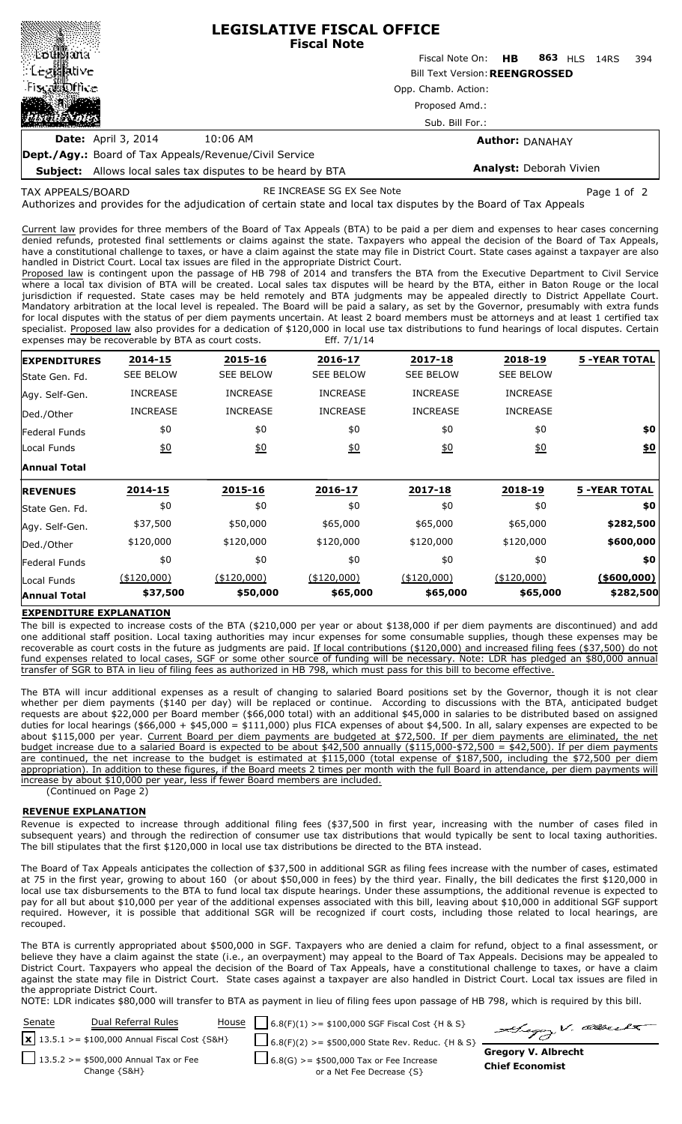|                                                               | <b>LEGISLATIVE FISCAL OFFICE</b><br><b>Fiscal Note</b> |                                       |  |                        |  |     |  |  |  |
|---------------------------------------------------------------|--------------------------------------------------------|---------------------------------------|--|------------------------|--|-----|--|--|--|
|                                                               |                                                        | Fiscal Note On: <b>HB</b>             |  | 863 HLS 14RS           |  | 394 |  |  |  |
|                                                               |                                                        | <b>Bill Text Version: REENGROSSED</b> |  |                        |  |     |  |  |  |
| Fiscal office                                                 |                                                        | Opp. Chamb. Action:                   |  |                        |  |     |  |  |  |
|                                                               | Proposed Amd.:<br>Sub. Bill For.:                      |                                       |  |                        |  |     |  |  |  |
|                                                               |                                                        |                                       |  |                        |  |     |  |  |  |
| <b>Date:</b> April 3, 2014                                    | 10:06 AM                                               |                                       |  | <b>Author: DANAHAY</b> |  |     |  |  |  |
| <b>Dept./Agy.:</b> Board of Tax Appeals/Revenue/Civil Service |                                                        |                                       |  |                        |  |     |  |  |  |

**Subject:** Allows local sales tax disputes to be heard by BTA

## **Analyst:** Deborah Vivien

TAX APPEALS/BOARD

RE INCREASE SG EX See Note **Page 1 of 2** and 2

Authorizes and provides for the adjudication of certain state and local tax disputes by the Board of Tax Appeals

Current law provides for three members of the Board of Tax Appeals (BTA) to be paid a per diem and expenses to hear cases concerning denied refunds, protested final settlements or claims against the state. Taxpayers who appeal the decision of the Board of Tax Appeals, have a constitutional challenge to taxes, or have a claim against the state may file in District Court. State cases against a taxpayer are also handled in District Court. Local tax issues are filed in the appropriate District Court.

Proposed law is contingent upon the passage of HB 798 of 2014 and transfers the BTA from the Executive Department to Civil Service where a local tax division of BTA will be created. Local sales tax disputes will be heard by the BTA, either in Baton Rouge or the local jurisdiction if requested. State cases may be held remotely and BTA judgments may be appealed directly to District Appellate Court. Mandatory arbitration at the local level is repealed. The Board will be paid a salary, as set by the Governor, presumably with extra funds for local disputes with the status of per diem payments uncertain. At least 2 board members must be attorneys and at least 1 certified tax specialist. Proposed law also provides for a dedication of \$120,000 in local use tax distributions to fund hearings of local disputes. Certain expenses may be recoverable by BTA as court costs. Eff. 7/1/14

| <b>EXPENDITURES</b> | 2014-15          | 2015-16          | 2016-17          | 2017-18          | 2018-19          | <b>5 -YEAR TOTAL</b> |
|---------------------|------------------|------------------|------------------|------------------|------------------|----------------------|
| State Gen. Fd.      | <b>SEE BELOW</b> | <b>SEE BELOW</b> | <b>SEE BELOW</b> | <b>SEE BELOW</b> | <b>SEE BELOW</b> |                      |
| Agy. Self-Gen.      | <b>INCREASE</b>  | <b>INCREASE</b>  | <b>INCREASE</b>  | <b>INCREASE</b>  | <b>INCREASE</b>  |                      |
| Ded./Other          | <b>INCREASE</b>  | <b>INCREASE</b>  | <b>INCREASE</b>  | <b>INCREASE</b>  | <b>INCREASE</b>  |                      |
| Federal Funds       | \$0              | \$0              | \$0              | \$0              | \$0              | \$0                  |
| Local Funds         | <u>\$0</u>       | 60               | 60               | 60               | $\underline{50}$ | \$0                  |
| <b>Annual Total</b> |                  |                  |                  |                  |                  |                      |
| <b>REVENUES</b>     | 2014-15          | 2015-16          | 2016-17          | 2017-18          | 2018-19          | <b>5 -YEAR TOTAL</b> |
| lState Gen. Fd.     | \$0              | \$0              | \$0              | \$0              | \$0              | \$0                  |
| Agy. Self-Gen.      | \$37,500         | \$50,000         | \$65,000         | \$65,000         | \$65,000         | \$282,500            |
| Ded./Other          | \$120,000        | \$120,000        | \$120,000        | \$120,000        | \$120,000        | \$600,000            |
| Federal Funds       | \$0              | \$0              | \$0              | \$0              | \$0              | \$0                  |
| Local Funds         | (\$120,000)      | $(*120,000)$     | $(*120,000)$     | $(*120,000)$     | (\$120,000)      | ( \$600,000]         |
| <b>Annual Total</b> | \$37,500         | \$50,000         | \$65,000         | \$65,000         | \$65,000         | \$282,500            |

### **EXPENDITURE EXPLANATION**

The bill is expected to increase costs of the BTA (\$210,000 per year or about \$138,000 if per diem payments are discontinued) and add one additional staff position. Local taxing authorities may incur expenses for some consumable supplies, though these expenses may be recoverable as court costs in the future as judgments are paid. If local contributions (\$120,000) and increased filing fees (\$37,500) do not fund expenses related to local cases, SGF or some other source of funding will be necessary. Note: LDR has pledged an \$80,000 annual transfer of SGR to BTA in lieu of filing fees as authorized in HB 798, which must pass for this bill to become effective.

The BTA will incur additional expenses as a result of changing to salaried Board positions set by the Governor, though it is not clear whether per diem payments (\$140 per day) will be replaced or continue. According to discussions with the BTA, anticipated budget requests are about \$22,000 per Board member (\$66,000 total) with an additional \$45,000 in salaries to be distributed based on assigned duties for local hearings (\$66,000 + \$45,000 = \$111,000) plus FICA expenses of about \$4,500. In all, salary expenses are expected to be about \$115,000 per year. Current Board per diem payments are budgeted at \$72,500. If per diem payments are eliminated, the net budget increase due to a salaried Board is expected to be about \$42,500 annually (\$115,000-\$72,500 = \$42,500). If per diem payments are continued, the net increase to the budget is estimated at \$115,000 (total expense of \$187,500, including the \$72,500 per diem appropriation). In addition to these figures, if the Board meets 2 times per month with the full Board in attendance, per diem payments will increase by about \$10,000 per year, less if fewer Board members are included. (

(Continued on Page 2)

### **REVENUE EXPLANATION**

Revenue is expected to increase through additional filing fees (\$37,500 in first year, increasing with the number of cases filed in subsequent years) and through the redirection of consumer use tax distributions that would typically be sent to local taxing authorities. The bill stipulates that the first \$120,000 in local use tax distributions be directed to the BTA instead.

The Board of Tax Appeals anticipates the collection of \$37,500 in additional SGR as filing fees increase with the number of cases, estimated at 75 in the first year, growing to about 160 (or about \$50,000 in fees) by the third year. Finally, the bill dedicates the first \$120,000 in local use tax disbursements to the BTA to fund local tax dispute hearings. Under these assumptions, the additional revenue is expected to pay for all but about \$10,000 per year of the additional expenses associated with this bill, leaving about \$10,000 in additional SGF support required. However, it is possible that additional SGR will be recognized if court costs, including those related to local hearings, are recouped.

The BTA is currently appropriated about \$500,000 in SGF. Taxpayers who are denied a claim for refund, object to a final assessment, or believe they have a claim against the state (i.e., an overpayment) may appeal to the Board of Tax Appeals. Decisions may be appealed to District Court. Taxpayers who appeal the decision of the Board of Tax Appeals, have a constitutional challenge to taxes, or have a claim against the state may file in District Court. State cases against a taxpayer are also handled in District Court. Local tax issues are filed in the appropriate District Court.

NOTE: LDR indicates \$80,000 will transfer to BTA as payment in lieu of filing fees upon passage of HB 798, which is required by this bill.